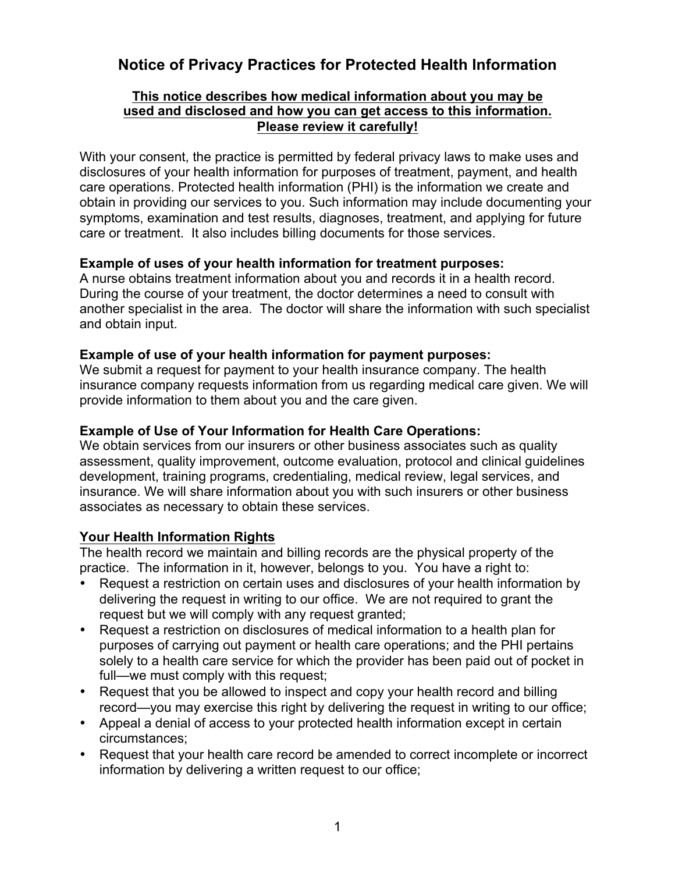# **Notice of Privacy Practices for Protected Health Information**

## **This notice describes how medical information about you may be used and disclosed and how you can get access to this information. Please review it carefully!**

With your consent, the practice is permitted by federal privacy laws to make uses and disclosures of your health information for purposes of treatment, payment, and health care operations. Protected health information (PHI) is the information we create and obtain in providing our services to you. Such information may include documenting your symptoms, examination and test results, diagnoses, treatment, and applying for future care or treatment. It also includes billing documents for those services.

## **Example of uses of your health information for treatment purposes:**

A nurse obtains treatment information about you and records it in a health record. During the course of your treatment, the doctor determines a need to consult with another specialist in the area. The doctor will share the information with such specialist and obtain input.

## **Example of use of your health information for payment purposes:**

We submit a request for payment to your health insurance company. The health insurance company requests information from us regarding medical care given. We will provide information to them about you and the care given.

## **Example of Use of Your Information for Health Care Operations:**

We obtain services from our insurers or other business associates such as quality assessment, quality improvement, outcome evaluation, protocol and clinical guidelines development, training programs, credentialing, medical review, legal services, and insurance. We will share information about you with such insurers or other business associates as necessary to obtain these services.

#### **Your Health Information Rights**

The health record we maintain and billing records are the physical property of the practice. The information in it, however, belongs to you. You have a right to:

- Request a restriction on certain uses and disclosures of your health information by delivering the request in writing to our office. We are not required to grant the request but we will comply with any request granted;
- Request a restriction on disclosures of medical information to a health plan for purposes of carrying out payment or health care operations; and the PHI pertains solely to a health care service for which the provider has been paid out of pocket in full—we must comply with this request;
- Request that you be allowed to inspect and copy your health record and billing record—you may exercise this right by delivering the request in writing to our office;
- Appeal a denial of access to your protected health information except in certain circumstances;
- Request that your health care record be amended to correct incomplete or incorrect information by delivering a written request to our office;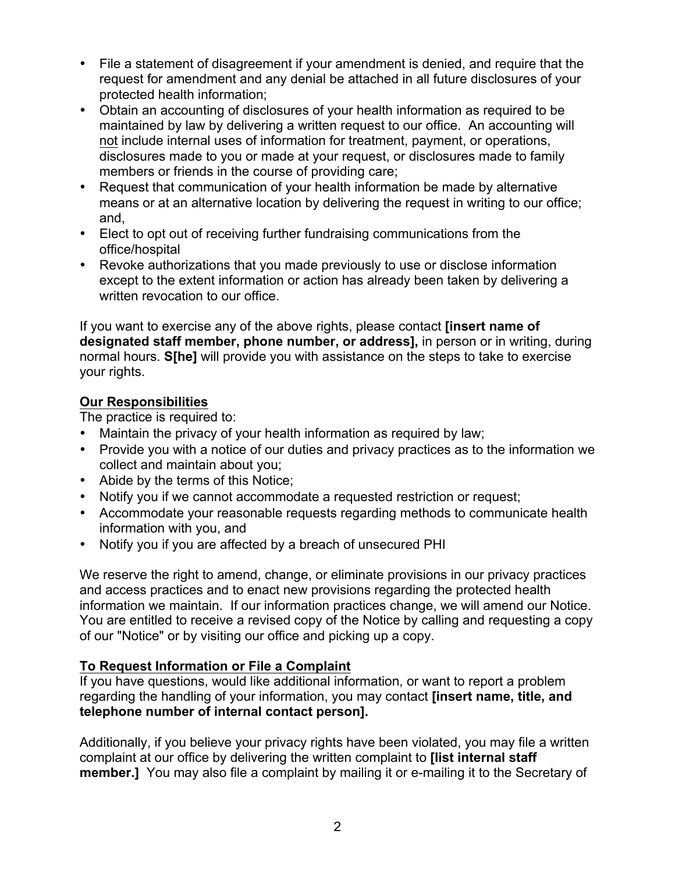- File a statement of disagreement if your amendment is denied, and require that the request for amendment and any denial be attached in all future disclosures of your protected health information;
- Obtain an accounting of disclosures of your health information as required to be maintained by law by delivering a written request to our office. An accounting will not include internal uses of information for treatment, payment, or operations, disclosures made to you or made at your request, or disclosures made to family members or friends in the course of providing care;
- Request that communication of your health information be made by alternative means or at an alternative location by delivering the request in writing to our office; and,
- Elect to opt out of receiving further fundraising communications from the office/hospital
- Revoke authorizations that you made previously to use or disclose information except to the extent information or action has already been taken by delivering a written revocation to our office.

If you want to exercise any of the above rights, please contact **[insert name of designated staff member, phone number, or address],** in person or in writing, during normal hours. **S[he]** will provide you with assistance on the steps to take to exercise your rights.

# **Our Responsibilities**

The practice is required to:

- Maintain the privacy of your health information as required by law;
- Provide you with a notice of our duties and privacy practices as to the information we collect and maintain about you;
- Abide by the terms of this Notice;
- Notify you if we cannot accommodate a requested restriction or request;
- Accommodate your reasonable requests regarding methods to communicate health information with you, and
- Notify you if you are affected by a breach of unsecured PHI

We reserve the right to amend, change, or eliminate provisions in our privacy practices and access practices and to enact new provisions regarding the protected health information we maintain. If our information practices change, we will amend our Notice. You are entitled to receive a revised copy of the Notice by calling and requesting a copy of our "Notice" or by visiting our office and picking up a copy.

# **To Request Information or File a Complaint**

If you have questions, would like additional information, or want to report a problem regarding the handling of your information, you may contact **[insert name, title, and telephone number of internal contact person].** 

Additionally, if you believe your privacy rights have been violated, you may file a written complaint at our office by delivering the written complaint to **[list internal staff member.]** You may also file a complaint by mailing it or e-mailing it to the Secretary of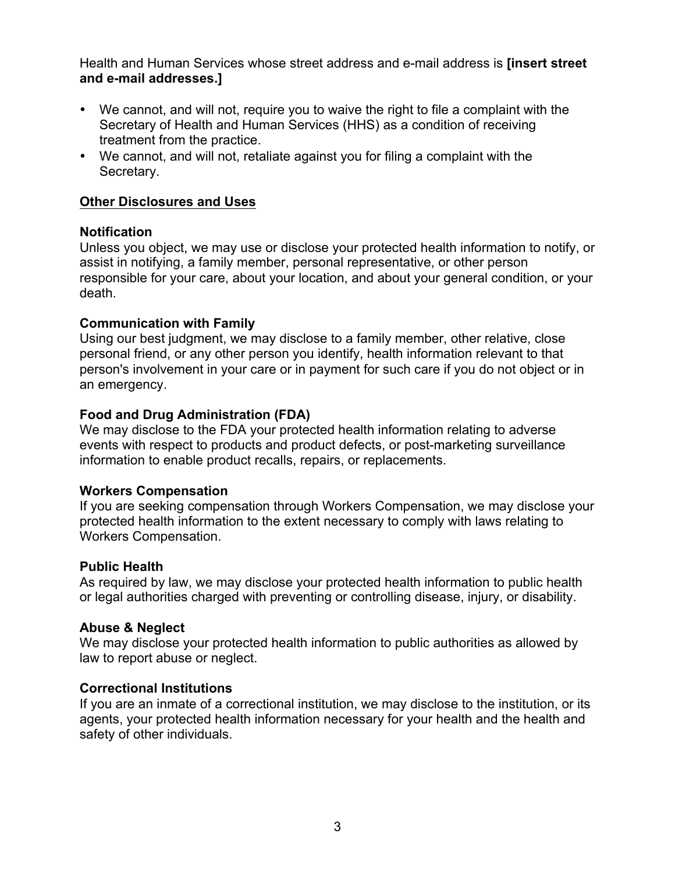Health and Human Services whose street address and e-mail address is **[insert street and e-mail addresses.]**

- We cannot, and will not, require you to waive the right to file a complaint with the Secretary of Health and Human Services (HHS) as a condition of receiving treatment from the practice.
- We cannot, and will not, retaliate against you for filing a complaint with the Secretary.

## **Other Disclosures and Uses**

## **Notification**

Unless you object, we may use or disclose your protected health information to notify, or assist in notifying, a family member, personal representative, or other person responsible for your care, about your location, and about your general condition, or your death.

## **Communication with Family**

Using our best judgment, we may disclose to a family member, other relative, close personal friend, or any other person you identify, health information relevant to that person's involvement in your care or in payment for such care if you do not object or in an emergency.

## **Food and Drug Administration (FDA)**

We may disclose to the FDA your protected health information relating to adverse events with respect to products and product defects, or post-marketing surveillance information to enable product recalls, repairs, or replacements.

#### **Workers Compensation**

If you are seeking compensation through Workers Compensation, we may disclose your protected health information to the extent necessary to comply with laws relating to Workers Compensation.

#### **Public Health**

As required by law, we may disclose your protected health information to public health or legal authorities charged with preventing or controlling disease, injury, or disability.

# **Abuse & Neglect**

We may disclose your protected health information to public authorities as allowed by law to report abuse or neglect.

#### **Correctional Institutions**

If you are an inmate of a correctional institution, we may disclose to the institution, or its agents, your protected health information necessary for your health and the health and safety of other individuals.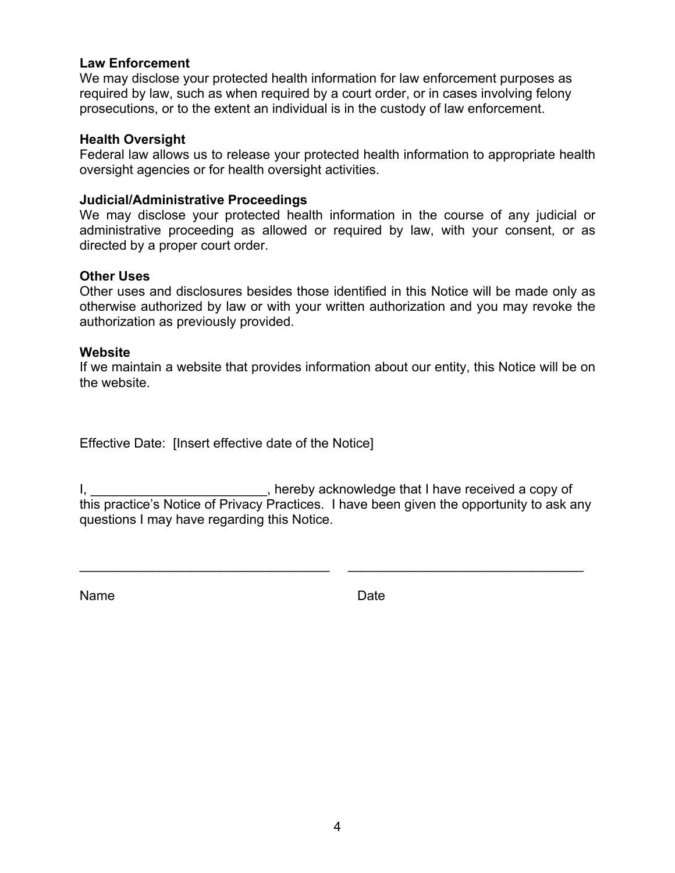#### **Law Enforcement**

We may disclose your protected health information for law enforcement purposes as required by law, such as when required by a court order, or in cases involving felony prosecutions, or to the extent an individual is in the custody of law enforcement.

#### **Health Oversight**

Federal law allows us to release your protected health information to appropriate health oversight agencies or for health oversight activities.

#### **Judicial/Administrative Proceedings**

We may disclose your protected health information in the course of any judicial or administrative proceeding as allowed or required by law, with your consent, or as directed by a proper court order.

#### **Other Uses**

Other uses and disclosures besides those identified in this Notice will be made only as otherwise authorized by law or with your written authorization and you may revoke the authorization as previously provided.

#### **Website**

If we maintain a website that provides information about our entity, this Notice will be on the website.

Effective Date: [Insert effective date of the Notice]

I, thereby acknowledge that I have received a copy of this practice's Notice of Privacy Practices. I have been given the opportunity to ask any questions I may have regarding this Notice.

\_\_\_\_\_\_\_\_\_\_\_\_\_\_\_\_\_\_\_\_\_\_\_\_\_\_\_\_\_\_\_\_\_\_ \_\_\_\_\_\_\_\_\_\_\_\_\_\_\_\_\_\_\_\_\_\_\_\_\_\_\_\_\_\_\_\_

Name Date Date